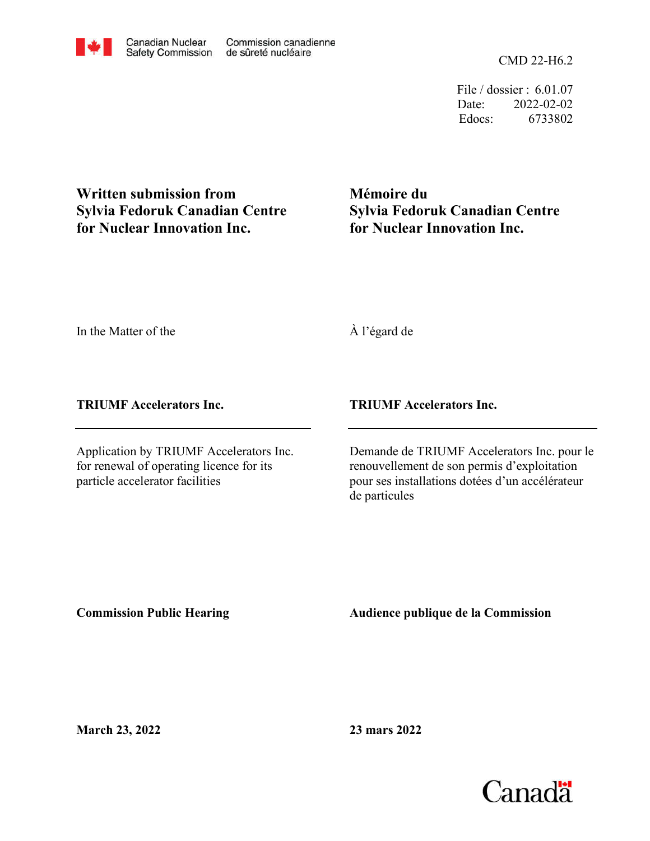CMD 22-H6.2

File / dossier : 6.01.07 Date: 2022-02-02 Edocs: 6733802

**Written submission from Sylvia Fedoruk Canadian Centre for Nuclear Innovation Inc.**

**Mémoire du Sylvia Fedoruk Canadian Centre for Nuclear Innovation Inc.**

In the Matter of the

À l'égard de

**TRIUMF Accelerators Inc.**

Application by TRIUMF Accelerators Inc. for renewal of operating licence for its particle accelerator facilities

**TRIUMF Accelerators Inc.**

Demande de TRIUMF Accelerators Inc. pour le renouvellement de son permis d'exploitation pour ses installations dotées d'un accélérateur de particules

**Commission Public Hearing**

**Audience publique de la Commission** 

**March 23, 2022**

**23 mars 2022**

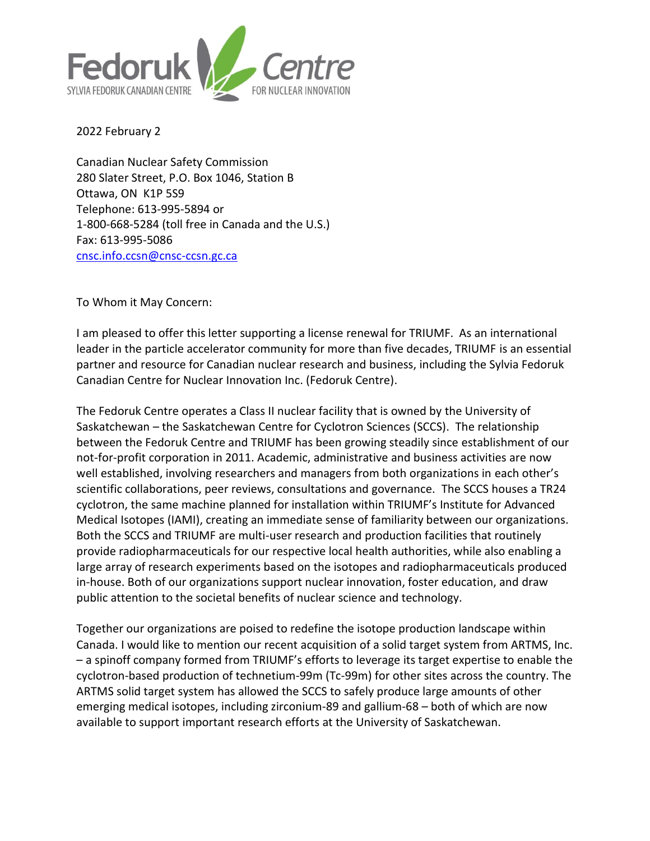

2022 February 2

Canadian Nuclear Safety Commission 280 Slater Street, P.O. Box 1046, Station B Ottawa, ON K1P 5S9 Telephone: 613-995-5894 or 1-800-668-5284 (toll free in Canada and the U.S.) Fax: 613-995-5086 [cnsc.info.ccsn@cnsc-ccsn.gc.ca](mailto:cnsc.info.ccsn@cnsc-ccsn.gc.ca)

To Whom it May Concern:

I am pleased to offer this letter supporting a license renewal for TRIUMF. As an international leader in the particle accelerator community for more than five decades, TRIUMF is an essential partner and resource for Canadian nuclear research and business, including the Sylvia Fedoruk Canadian Centre for Nuclear Innovation Inc. (Fedoruk Centre).

The Fedoruk Centre operates a Class II nuclear facility that is owned by the University of Saskatchewan – the Saskatchewan Centre for Cyclotron Sciences (SCCS). The relationship between the Fedoruk Centre and TRIUMF has been growing steadily since establishment of our not-for-profit corporation in 2011. Academic, administrative and business activities are now well established, involving researchers and managers from both organizations in each other's scientific collaborations, peer reviews, consultations and governance. The SCCS houses a TR24 cyclotron, the same machine planned for installation within TRIUMF's Institute for Advanced Medical Isotopes (IAMI), creating an immediate sense of familiarity between our organizations. Both the SCCS and TRIUMF are multi-user research and production facilities that routinely provide radiopharmaceuticals for our respective local health authorities, while also enabling a large array of research experiments based on the isotopes and radiopharmaceuticals produced in-house. Both of our organizations support nuclear innovation, foster education, and draw public attention to the societal benefits of nuclear science and technology.

Together our organizations are poised to redefine the isotope production landscape within Canada. I would like to mention our recent acquisition of a solid target system from ARTMS, Inc. – a spinoff company formed from TRIUMF's efforts to leverage its target expertise to enable the cyclotron-based production of technetium-99m (Tc-99m) for other sites across the country. The ARTMS solid target system has allowed the SCCS to safely produce large amounts of other emerging medical isotopes, including zirconium-89 and gallium-68 – both of which are now available to support important research efforts at the University of Saskatchewan.